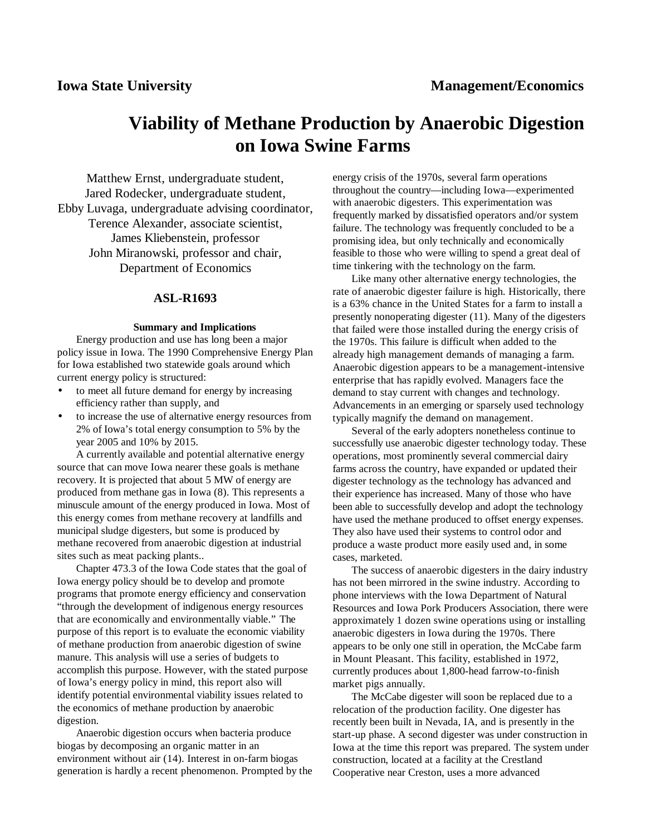# **Viability of Methane Production by Anaerobic Digestion on Iowa Swine Farms**

Matthew Ernst, undergraduate student, Jared Rodecker, undergraduate student, Ebby Luvaga, undergraduate advising coordinator, Terence Alexander, associate scientist, James Kliebenstein, professor John Miranowski, professor and chair, Department of Economics

# **ASL-R1693**

#### **Summary and Implications**

Energy production and use has long been a major policy issue in Iowa. The 1990 Comprehensive Energy Plan for Iowa established two statewide goals around which current energy policy is structured:

- to meet all future demand for energy by increasing efficiency rather than supply, and
- to increase the use of alternative energy resources from 2% of Iowa's total energy consumption to 5% by the year 2005 and 10% by 2015.

A currently available and potential alternative energy source that can move Iowa nearer these goals is methane recovery. It is projected that about 5 MW of energy are produced from methane gas in Iowa (8). This represents a minuscule amount of the energy produced in Iowa. Most of this energy comes from methane recovery at landfills and municipal sludge digesters, but some is produced by methane recovered from anaerobic digestion at industrial sites such as meat packing plants..

Chapter 473.3 of the Iowa Code states that the goal of Iowa energy policy should be to develop and promote programs that promote energy efficiency and conservation "through the development of indigenous energy resources that are economically and environmentally viable." The purpose of this report is to evaluate the economic viability of methane production from anaerobic digestion of swine manure. This analysis will use a series of budgets to accomplish this purpose. However, with the stated purpose of Iowa's energy policy in mind, this report also will identify potential environmental viability issues related to the economics of methane production by anaerobic digestion.

Anaerobic digestion occurs when bacteria produce biogas by decomposing an organic matter in an environment without air (14). Interest in on-farm biogas generation is hardly a recent phenomenon. Prompted by the energy crisis of the 1970s, several farm operations throughout the country— including Iowa— experimented with anaerobic digesters. This experimentation was frequently marked by dissatisfied operators and/or system failure. The technology was frequently concluded to be a promising idea, but only technically and economically feasible to those who were willing to spend a great deal of time tinkering with the technology on the farm.

Like many other alternative energy technologies, the rate of anaerobic digester failure is high. Historically, there is a 63% chance in the United States for a farm to install a presently nonoperating digester (11). Many of the digesters that failed were those installed during the energy crisis of the 1970s. This failure is difficult when added to the already high management demands of managing a farm. Anaerobic digestion appears to be a management-intensive enterprise that has rapidly evolved. Managers face the demand to stay current with changes and technology. Advancements in an emerging or sparsely used technology typically magnify the demand on management.

Several of the early adopters nonetheless continue to successfully use anaerobic digester technology today. These operations, most prominently several commercial dairy farms across the country, have expanded or updated their digester technology as the technology has advanced and their experience has increased. Many of those who have been able to successfully develop and adopt the technology have used the methane produced to offset energy expenses. They also have used their systems to control odor and produce a waste product more easily used and, in some cases, marketed.

The success of anaerobic digesters in the dairy industry has not been mirrored in the swine industry. According to phone interviews with the Iowa Department of Natural Resources and Iowa Pork Producers Association, there were approximately 1 dozen swine operations using or installing anaerobic digesters in Iowa during the 1970s. There appears to be only one still in operation, the McCabe farm in Mount Pleasant. This facility, established in 1972, currently produces about 1,800-head farrow-to-finish market pigs annually.

The McCabe digester will soon be replaced due to a relocation of the production facility. One digester has recently been built in Nevada, IA, and is presently in the start-up phase. A second digester was under construction in Iowa at the time this report was prepared. The system under construction, located at a facility at the Crestland Cooperative near Creston, uses a more advanced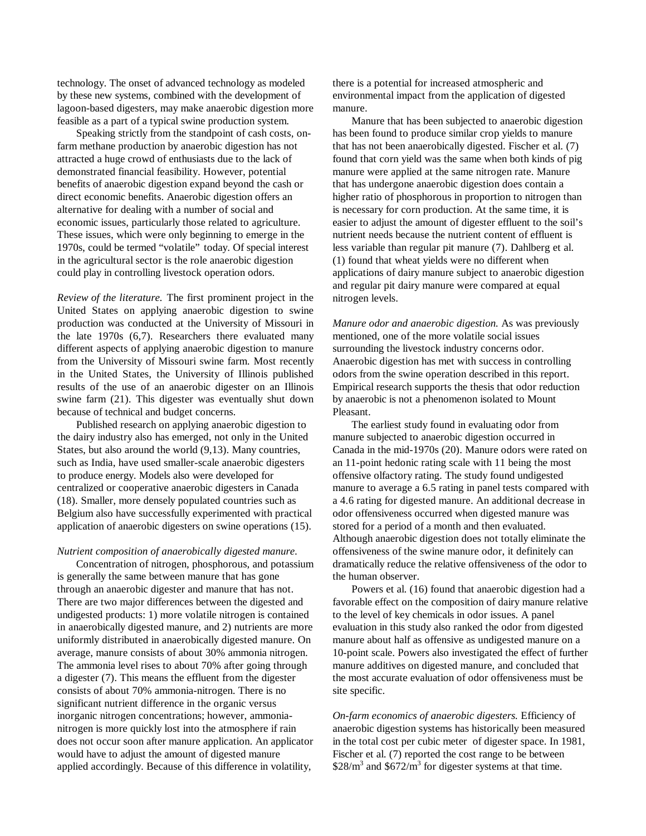technology. The onset of advanced technology as modeled by these new systems, combined with the development of lagoon-based digesters, may make anaerobic digestion more feasible as a part of a typical swine production system.

Speaking strictly from the standpoint of cash costs, onfarm methane production by anaerobic digestion has not attracted a huge crowd of enthusiasts due to the lack of demonstrated financial feasibility. However, potential benefits of anaerobic digestion expand beyond the cash or direct economic benefits. Anaerobic digestion offers an alternative for dealing with a number of social and economic issues, particularly those related to agriculture. These issues, which were only beginning to emerge in the 1970s, could be termed "volatile" today. Of special interest in the agricultural sector is the role anaerobic digestion could play in controlling livestock operation odors.

*Review of the literature.* The first prominent project in the United States on applying anaerobic digestion to swine production was conducted at the University of Missouri in the late 1970s (6,7). Researchers there evaluated many different aspects of applying anaerobic digestion to manure from the University of Missouri swine farm. Most recently in the United States, the University of Illinois published results of the use of an anaerobic digester on an Illinois swine farm (21). This digester was eventually shut down because of technical and budget concerns.

Published research on applying anaerobic digestion to the dairy industry also has emerged, not only in the United States, but also around the world (9,13). Many countries, such as India, have used smaller-scale anaerobic digesters to produce energy. Models also were developed for centralized or cooperative anaerobic digesters in Canada (18). Smaller, more densely populated countries such as Belgium also have successfully experimented with practical application of anaerobic digesters on swine operations (15).

#### *Nutrient composition of anaerobically digested manure.*

Concentration of nitrogen, phosphorous, and potassium is generally the same between manure that has gone through an anaerobic digester and manure that has not. There are two major differences between the digested and undigested products: 1) more volatile nitrogen is contained in anaerobically digested manure, and 2) nutrients are more uniformly distributed in anaerobically digested manure. On average, manure consists of about 30% ammonia nitrogen. The ammonia level rises to about 70% after going through a digester (7). This means the effluent from the digester consists of about 70% ammonia-nitrogen. There is no significant nutrient difference in the organic versus inorganic nitrogen concentrations; however, ammonianitrogen is more quickly lost into the atmosphere if rain does not occur soon after manure application. An applicator would have to adjust the amount of digested manure applied accordingly. Because of this difference in volatility,

there is a potential for increased atmospheric and environmental impact from the application of digested manure.

Manure that has been subjected to anaerobic digestion has been found to produce similar crop yields to manure that has not been anaerobically digested. Fischer et al. (7) found that corn yield was the same when both kinds of pig manure were applied at the same nitrogen rate. Manure that has undergone anaerobic digestion does contain a higher ratio of phosphorous in proportion to nitrogen than is necessary for corn production. At the same time, it is easier to adjust the amount of digester effluent to the soil's nutrient needs because the nutrient content of effluent is less variable than regular pit manure (7). Dahlberg et al. (1) found that wheat yields were no different when applications of dairy manure subject to anaerobic digestion and regular pit dairy manure were compared at equal nitrogen levels.

*Manure odor and anaerobic digestion.* As was previously mentioned, one of the more volatile social issues surrounding the livestock industry concerns odor. Anaerobic digestion has met with success in controlling odors from the swine operation described in this report. Empirical research supports the thesis that odor reduction by anaerobic is not a phenomenon isolated to Mount Pleasant.

The earliest study found in evaluating odor from manure subjected to anaerobic digestion occurred in Canada in the mid-1970s (20). Manure odors were rated on an 11-point hedonic rating scale with 11 being the most offensive olfactory rating. The study found undigested manure to average a 6.5 rating in panel tests compared with a 4.6 rating for digested manure. An additional decrease in odor offensiveness occurred when digested manure was stored for a period of a month and then evaluated. Although anaerobic digestion does not totally eliminate the offensiveness of the swine manure odor, it definitely can dramatically reduce the relative offensiveness of the odor to the human observer.

Powers et al. (16) found that anaerobic digestion had a favorable effect on the composition of dairy manure relative to the level of key chemicals in odor issues. A panel evaluation in this study also ranked the odor from digested manure about half as offensive as undigested manure on a 10-point scale. Powers also investigated the effect of further manure additives on digested manure, and concluded that the most accurate evaluation of odor offensiveness must be site specific.

*On-farm economics of anaerobic digesters.* Efficiency of anaerobic digestion systems has historically been measured in the total cost per cubic meter of digester space. In 1981, Fischer et al. (7) reported the cost range to be between  $$28/m<sup>3</sup>$  and  $$672/m<sup>3</sup>$  for digester systems at that time.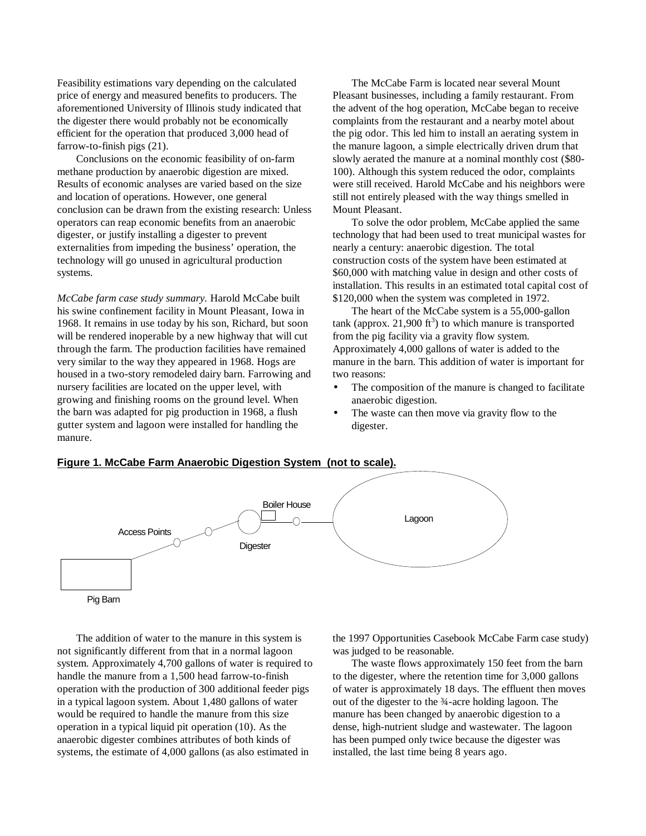Feasibility estimations vary depending on the calculated price of energy and measured benefits to producers. The aforementioned University of Illinois study indicated that the digester there would probably not be economically efficient for the operation that produced 3,000 head of farrow-to-finish pigs (21).

Conclusions on the economic feasibility of on-farm methane production by anaerobic digestion are mixed. Results of economic analyses are varied based on the size and location of operations. However, one general conclusion can be drawn from the existing research: Unless operators can reap economic benefits from an anaerobic digester, or justify installing a digester to prevent externalities from impeding the business' operation, the technology will go unused in agricultural production systems.

*McCabe farm case study summary.* Harold McCabe built his swine confinement facility in Mount Pleasant, Iowa in 1968. It remains in use today by his son, Richard, but soon will be rendered inoperable by a new highway that will cut through the farm. The production facilities have remained very similar to the way they appeared in 1968. Hogs are housed in a two-story remodeled dairy barn. Farrowing and nursery facilities are located on the upper level, with growing and finishing rooms on the ground level. When the barn was adapted for pig production in 1968, a flush gutter system and lagoon were installed for handling the manure.

The McCabe Farm is located near several Mount Pleasant businesses, including a family restaurant. From the advent of the hog operation, McCabe began to receive complaints from the restaurant and a nearby motel about the pig odor. This led him to install an aerating system in the manure lagoon, a simple electrically driven drum that slowly aerated the manure at a nominal monthly cost (\$80- 100). Although this system reduced the odor, complaints were still received. Harold McCabe and his neighbors were still not entirely pleased with the way things smelled in Mount Pleasant.

To solve the odor problem, McCabe applied the same technology that had been used to treat municipal wastes for nearly a century: anaerobic digestion. The total construction costs of the system have been estimated at \$60,000 with matching value in design and other costs of installation. This results in an estimated total capital cost of \$120,000 when the system was completed in 1972.

The heart of the McCabe system is a 55,000-gallon tank (approx. 21,900  $\text{ft}^3$ ) to which manure is transported from the pig facility via a gravity flow system. Approximately 4,000 gallons of water is added to the manure in the barn. This addition of water is important for two reasons:

- The composition of the manure is changed to facilitate anaerobic digestion.
- The waste can then move via gravity flow to the digester.

#### **Figure 1. McCabe Farm Anaerobic Digestion System (not to scale).**



The addition of water to the manure in this system is not significantly different from that in a normal lagoon system. Approximately 4,700 gallons of water is required to handle the manure from a 1,500 head farrow-to-finish operation with the production of 300 additional feeder pigs in a typical lagoon system. About 1,480 gallons of water would be required to handle the manure from this size operation in a typical liquid pit operation (10). As the anaerobic digester combines attributes of both kinds of systems, the estimate of 4,000 gallons (as also estimated in

the 1997 Opportunities Casebook McCabe Farm case study) was judged to be reasonable.

The waste flows approximately 150 feet from the barn to the digester, where the retention time for 3,000 gallons of water is approximately 18 days. The effluent then moves out of the digester to the ¾-acre holding lagoon. The manure has been changed by anaerobic digestion to a dense, high-nutrient sludge and wastewater. The lagoon has been pumped only twice because the digester was installed, the last time being 8 years ago.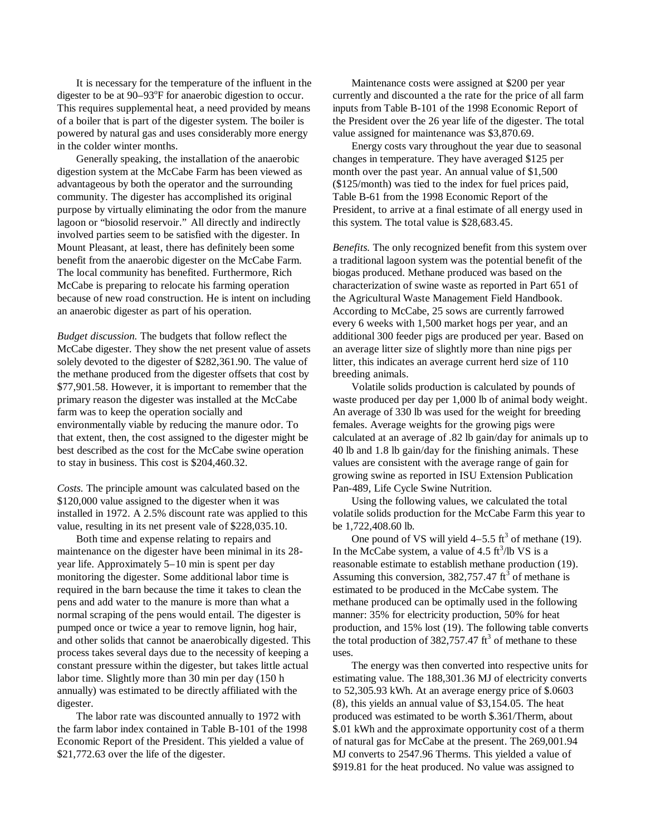It is necessary for the temperature of the influent in the digester to be at 90–93°F for anaerobic digestion to occur. This requires supplemental heat, a need provided by means of a boiler that is part of the digester system. The boiler is powered by natural gas and uses considerably more energy in the colder winter months.

Generally speaking, the installation of the anaerobic digestion system at the McCabe Farm has been viewed as advantageous by both the operator and the surrounding community. The digester has accomplished its original purpose by virtually eliminating the odor from the manure lagoon or "biosolid reservoir." All directly and indirectly involved parties seem to be satisfied with the digester. In Mount Pleasant, at least, there has definitely been some benefit from the anaerobic digester on the McCabe Farm. The local community has benefited. Furthermore, Rich McCabe is preparing to relocate his farming operation because of new road construction. He is intent on including an anaerobic digester as part of his operation.

*Budget discussion.* The budgets that follow reflect the McCabe digester. They show the net present value of assets solely devoted to the digester of \$282,361.90. The value of the methane produced from the digester offsets that cost by \$77,901.58. However, it is important to remember that the primary reason the digester was installed at the McCabe farm was to keep the operation socially and environmentally viable by reducing the manure odor. To that extent, then, the cost assigned to the digester might be best described as the cost for the McCabe swine operation to stay in business. This cost is \$204,460.32.

*Costs.* The principle amount was calculated based on the \$120,000 value assigned to the digester when it was installed in 1972. A 2.5% discount rate was applied to this value, resulting in its net present vale of \$228,035.10.

Both time and expense relating to repairs and maintenance on the digester have been minimal in its 28 year life. Approximately 5–10 min is spent per day monitoring the digester. Some additional labor time is required in the barn because the time it takes to clean the pens and add water to the manure is more than what a normal scraping of the pens would entail. The digester is pumped once or twice a year to remove lignin, hog hair, and other solids that cannot be anaerobically digested. This process takes several days due to the necessity of keeping a constant pressure within the digester, but takes little actual labor time. Slightly more than 30 min per day (150 h annually) was estimated to be directly affiliated with the digester.

The labor rate was discounted annually to 1972 with the farm labor index contained in Table B-101 of the 1998 Economic Report of the President. This yielded a value of \$21,772.63 over the life of the digester.

Maintenance costs were assigned at \$200 per year currently and discounted a the rate for the price of all farm inputs from Table B-101 of the 1998 Economic Report of the President over the 26 year life of the digester. The total value assigned for maintenance was \$3,870.69.

Energy costs vary throughout the year due to seasonal changes in temperature. They have averaged \$125 per month over the past year. An annual value of \$1,500 (\$125/month) was tied to the index for fuel prices paid, Table B-61 from the 1998 Economic Report of the President, to arrive at a final estimate of all energy used in this system. The total value is \$28,683.45.

*Benefits.* The only recognized benefit from this system over a traditional lagoon system was the potential benefit of the biogas produced. Methane produced was based on the characterization of swine waste as reported in Part 651 of the Agricultural Waste Management Field Handbook. According to McCabe, 25 sows are currently farrowed every 6 weeks with 1,500 market hogs per year, and an additional 300 feeder pigs are produced per year. Based on an average litter size of slightly more than nine pigs per litter, this indicates an average current herd size of 110 breeding animals.

Volatile solids production is calculated by pounds of waste produced per day per 1,000 lb of animal body weight. An average of 330 lb was used for the weight for breeding females. Average weights for the growing pigs were calculated at an average of .82 lb gain/day for animals up to 40 lb and 1.8 lb gain/day for the finishing animals. These values are consistent with the average range of gain for growing swine as reported in ISU Extension Publication Pan-489, Life Cycle Swine Nutrition.

Using the following values, we calculated the total volatile solids production for the McCabe Farm this year to be 1,722,408.60 lb.

One pound of VS will yield  $4-5.5$  ft<sup>3</sup> of methane (19). In the McCabe system, a value of  $4.5 \text{ ft}^3/\text{lb} \text{ VS}$  is a reasonable estimate to establish methane production (19). Assuming this conversion,  $382,757.47 \text{ ft}^3$  of methane is estimated to be produced in the McCabe system. The methane produced can be optimally used in the following manner: 35% for electricity production, 50% for heat production, and 15% lost (19). The following table converts the total production of  $382,757.47 \text{ ft}^3$  of methane to these uses.

The energy was then converted into respective units for estimating value. The 188,301.36 MJ of electricity converts to 52,305.93 kWh. At an average energy price of \$.0603 (8), this yields an annual value of \$3,154.05. The heat produced was estimated to be worth \$.361/Therm, about \$.01 kWh and the approximate opportunity cost of a therm of natural gas for McCabe at the present. The 269,001.94 MJ converts to 2547.96 Therms. This yielded a value of \$919.81 for the heat produced. No value was assigned to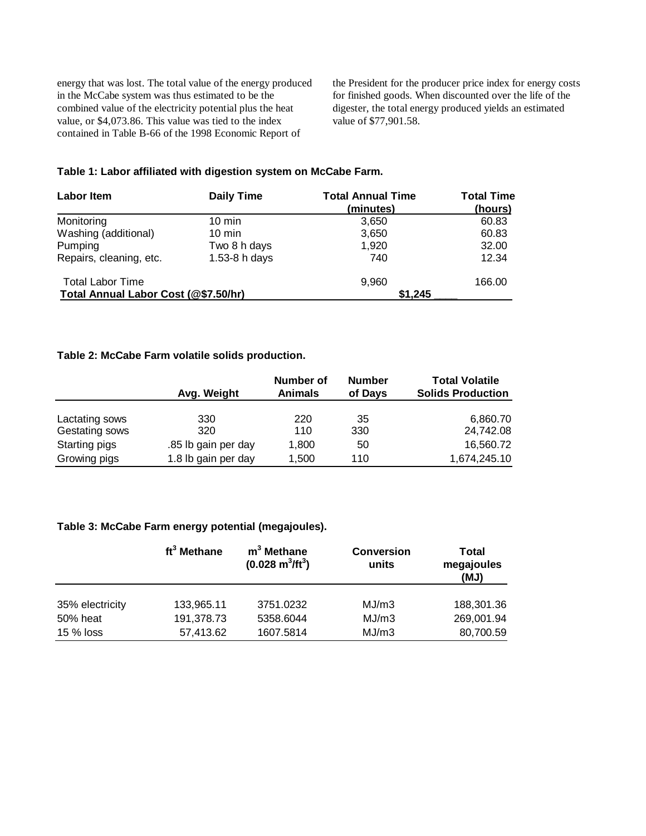energy that was lost. The total value of the energy produced in the McCabe system was thus estimated to be the combined value of the electricity potential plus the heat value, or \$4,073.86. This value was tied to the index contained in Table B-66 of the 1998 Economic Report of

the President for the producer price index for energy costs for finished goods. When discounted over the life of the digester, the total energy produced yields an estimated value of \$77,901.58.

# **Table 1: Labor affiliated with digestion system on McCabe Farm.**

| <b>Labor Item</b>                    | <b>Daily Time</b> | <b>Total Annual Time</b><br>(minutes) | <b>Total Time</b><br>(hours) |  |
|--------------------------------------|-------------------|---------------------------------------|------------------------------|--|
| Monitoring                           | $10 \text{ min}$  | 3.650                                 | 60.83                        |  |
| Washing (additional)                 | $10 \text{ min}$  | 3,650                                 | 60.83                        |  |
| Pumping                              | Two 8 h days      | 1.920                                 | 32.00                        |  |
| Repairs, cleaning, etc.              | 1.53-8 h days     | 740                                   | 12.34                        |  |
| <b>Total Labor Time</b>              |                   | 9.960                                 | 166.00                       |  |
| Total Annual Labor Cost (@\$7.50/hr) |                   | \$1.245                               |                              |  |

# **Table 2: McCabe Farm volatile solids production.**

|                | Avg. Weight         | Number of<br><b>Animals</b> | <b>Number</b><br>of Days | <b>Total Volatile</b><br><b>Solids Production</b> |  |
|----------------|---------------------|-----------------------------|--------------------------|---------------------------------------------------|--|
| Lactating sows | 330                 | 220                         | 35                       | 6,860.70                                          |  |
| Gestating sows | 320                 | 110                         | 330                      | 24,742.08                                         |  |
| Starting pigs  | .85 lb gain per day | 1,800                       | 50                       | 16,560.72                                         |  |
| Growing pigs   | 1.8 lb gain per day | 1,500                       | 110                      | 1,674,245.10                                      |  |

# **Table 3: McCabe Farm energy potential (megajoules).**

|                 | ft <sup>3</sup> Methane | $m3$ Methane<br>$(0.028 \text{ m}^3/\text{ft}^3)$ | <b>Conversion</b><br>units | Total<br>megajoules<br>(MJ) |
|-----------------|-------------------------|---------------------------------------------------|----------------------------|-----------------------------|
| 35% electricity | 133,965.11              | 3751.0232                                         | MJ/m3                      | 188,301.36                  |
| 50% heat        | 191,378.73              | 5358.6044                                         | MJ/m3                      | 269,001.94                  |
| 15 % loss       | 57,413.62               | 1607.5814                                         | MJ/m3                      | 80,700.59                   |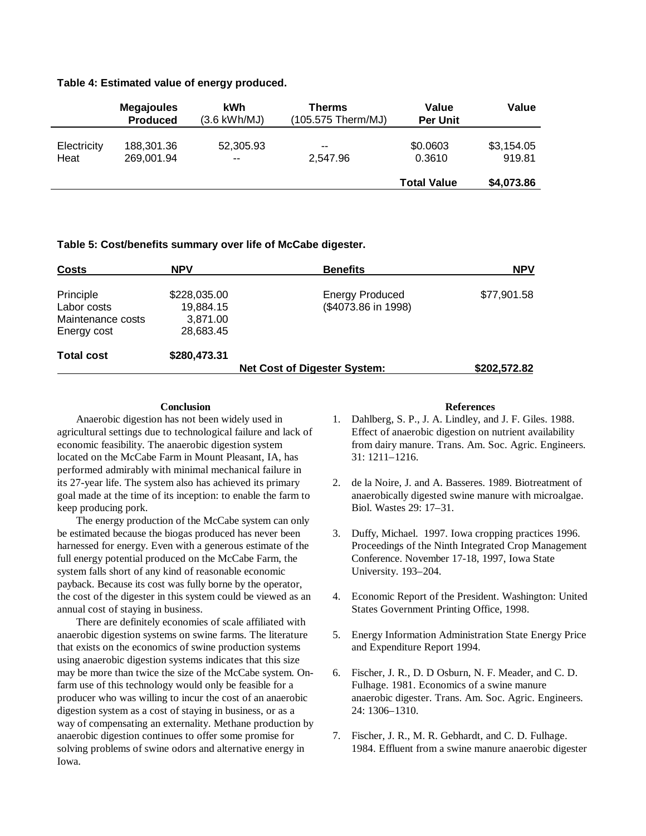#### **Table 4: Estimated value of energy produced.**

|                     | <b>Megajoules</b><br><b>Produced</b> | kWh<br>$(3.6 \text{ kWh}/\text{MJ})$ | <b>Therms</b><br>(105.575 Therm/MJ) | Value<br><b>Per Unit</b> | Value                |
|---------------------|--------------------------------------|--------------------------------------|-------------------------------------|--------------------------|----------------------|
| Electricity<br>Heat | 188,301.36<br>269,001.94             | 52,305.93<br>--                      | --<br>2.547.96                      | \$0.0603<br>0.3610       | \$3,154.05<br>919.81 |
|                     |                                      |                                      |                                     | <b>Total Value</b>       | \$4,073.86           |

## **Table 5: Cost/benefits summary over life of McCabe digester.**

| <b>Costs</b>                                                 | NPV                                                | <b>Benefits</b>                               | <b>NPV</b>   |
|--------------------------------------------------------------|----------------------------------------------------|-----------------------------------------------|--------------|
| Principle<br>Labor costs<br>Maintenance costs<br>Energy cost | \$228,035.00<br>19,884.15<br>3,871.00<br>28,683.45 | <b>Energy Produced</b><br>(\$4073.86 in 1998) | \$77,901.58  |
| <b>Total cost</b>                                            | \$280,473.31                                       | <b>Net Cost of Digester System:</b>           | \$202,572.82 |

## **Conclusion**

Anaerobic digestion has not been widely used in agricultural settings due to technological failure and lack of economic feasibility. The anaerobic digestion system located on the McCabe Farm in Mount Pleasant, IA, has performed admirably with minimal mechanical failure in its 27-year life. The system also has achieved its primary goal made at the time of its inception: to enable the farm to keep producing pork.

The energy production of the McCabe system can only be estimated because the biogas produced has never been harnessed for energy. Even with a generous estimate of the full energy potential produced on the McCabe Farm, the system falls short of any kind of reasonable economic payback. Because its cost was fully borne by the operator, the cost of the digester in this system could be viewed as an annual cost of staying in business.

There are definitely economies of scale affiliated with anaerobic digestion systems on swine farms. The literature that exists on the economics of swine production systems using anaerobic digestion systems indicates that this size may be more than twice the size of the McCabe system. Onfarm use of this technology would only be feasible for a producer who was willing to incur the cost of an anaerobic digestion system as a cost of staying in business, or as a way of compensating an externality. Methane production by anaerobic digestion continues to offer some promise for solving problems of swine odors and alternative energy in Iowa.

#### **References**

- 1. Dahlberg, S. P., J. A. Lindley, and J. F. Giles. 1988. Effect of anaerobic digestion on nutrient availability from dairy manure. Trans. Am. Soc. Agric. Engineers*.* 31: 1211–1216.
- 2. de la Noire, J. and A. Basseres. 1989. Biotreatment of anaerobically digested swine manure with microalgae. Biol. Wastes 29: 17–31.
- 3. Duffy, Michael. 1997. Iowa cropping practices 1996. Proceedings of the Ninth Integrated Crop Management Conference. November 17-18, 1997, Iowa State University. 193–204.
- 4. Economic Report of the President. Washington: United States Government Printing Office, 1998.
- 5. Energy Information Administration State Energy Price and Expenditure Report 1994.
- 6. Fischer, J. R., D. D Osburn, N. F. Meader, and C. D. Fulhage. 1981. Economics of a swine manure anaerobic digester. Trans. Am. Soc. Agric. Engineers*.* 24: 1306–1310.
- 7. Fischer, J. R., M. R. Gebhardt, and C. D. Fulhage. 1984. Effluent from a swine manure anaerobic digester